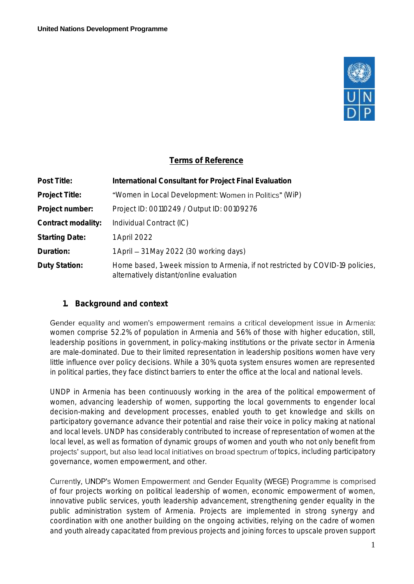

# **Terms of Reference**

| Post Title:           | International Consultant for Project Final Evaluation                                                                     |
|-----------------------|---------------------------------------------------------------------------------------------------------------------------|
| Project Title:        | "Women in Local Development: Women in Politics" (WiP)                                                                     |
| Project number:       | Project ID: 00110249 / Output ID: 00109276                                                                                |
| Contract modality:    | Individual Contract (IC)                                                                                                  |
| <b>Starting Date:</b> | 1 April 2022                                                                                                              |
| Duration:             | 1 April – 31 May 2022 (30 working days)                                                                                   |
| Duty Station:         | Home based, 1-week mission to Armenia, if not restricted by COVID-19 policies,<br>alternatively distant/online evaluation |

### **1. Background and context**

Gender equality and women's empowerment remains a critical development issue in Armenia: women comprise 52.2% of population in Armenia and 56% of those with higher education, still, leadership positions in government, in policy-making institutions or the private sector in Armenia are male-dominated. Due to their limited representation in leadership positions women have very little influence over policy decisions. While a 30% quota system ensures women are represented in political parties, they face distinct barriers to enter the office at the local and national levels.

UNDP in Armenia has been continuously working in the area of the political empowerment of women, advancing leadership of women, supporting the local governments to engender local decision-making and development processes, enabled youth to get knowledge and skills on participatory governance advance their potential and raise their voice in policy making at national and local levels. UNDP has considerably contributed to increase of representation of women at the local level, as well as formation of dynamic groups of women and youth who not only benefit from projects' support, but also lead local initiatives on broad spectrum of topics, including participatory governance, women empowerment, and other.

Currently, UNDP's Women Empowerment and Gender Equality (WEGE) Programme is comprised of four projects working on political leadership of women, economic empowerment of women, innovative public services, youth leadership advancement, strengthening gender equality in the public administration system of Armenia. Projects are implemented in strong synergy and coordination with one another building on the ongoing activities, relying on the cadre of women and youth already capacitated from previous projects and joining forces to upscale proven support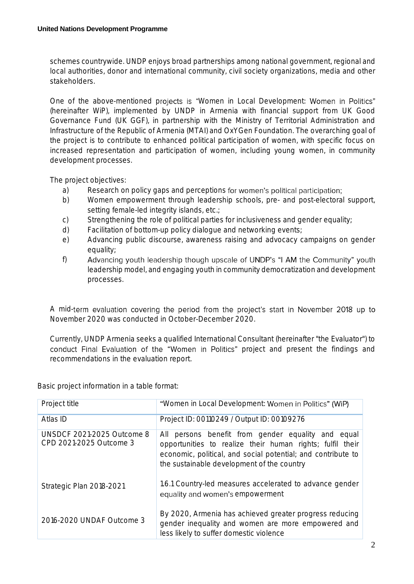schemes countrywide. UNDP enjoys broad partnerships among national government, regional and local authorities, donor and international community, civil society organizations, media and other stakeholders.

One of the above-mentioned projects is "Women in Local Development: Women in Politics" (hereinafter WiP), implemented by UNDP in Armenia with financial support from UK Good Governance Fund (UK GGF), in partnership with the Ministry of Territorial Administration and Infrastructure of the Republic of Armenia (MTAI) and OxYGen Foundation. The overarching goal of the project is to contribute to enhanced political participation of women, with specific focus on increased representation and participation of women, including young women, in community development processes.

The project objectives:

- a) Research on policy gaps and perceptions for women's political participation;
- b) Women empowerment through leadership schools, pre- and post-electoral support, setting female-led integrity islands, etc.;
- c) Strengthening the role of political parties for inclusiveness and gender equality;
- d) Facilitation of bottom-up policy dialogue and networking events;
- e) Advancing public discourse, awareness raising and advocacy campaigns on gender equality;
- f) Advancing youth leadership though upscale of UNDP's "I AM the Community" youth leadership model, and engaging youth in community democratization and development processes.

A mid-term evaluation covering the period from the project's start in November 2018 up to November 2020 was conducted in October-December 2020.

Currently, UNDP Armenia seeks a qualified International Consultant (hereinafter "the Evaluator") to conduct Final Evaluation of the "Women in Politics" project and present the findings and recommendations in the evaluation report.

Basic project information in a table format:

| Project title                                                | "Women in Local Development: Women in Politics" (WiP)                                                                                                                                                                         |
|--------------------------------------------------------------|-------------------------------------------------------------------------------------------------------------------------------------------------------------------------------------------------------------------------------|
| Atlas ID                                                     | Project ID: 00110249 / Output ID: 00109276                                                                                                                                                                                    |
| <b>UNSDCF 2021-2025 Outcome 8</b><br>CPD 2021-2025 Outcome 3 | All persons benefit from gender equality and equal<br>opportunities to realize their human rights; fulfil their<br>economic, political, and social potential; and contribute to<br>the sustainable development of the country |
| Strategic Plan 2018-2021                                     | 1.6.1 Country-led measures accelerated to advance gender<br>equality and women's empowerment                                                                                                                                  |
| 2016-2020 UNDAF Outcome 3                                    | By 2020, Armenia has achieved greater progress reducing<br>gender inequality and women are more empowered and<br>less likely to suffer domestic violence                                                                      |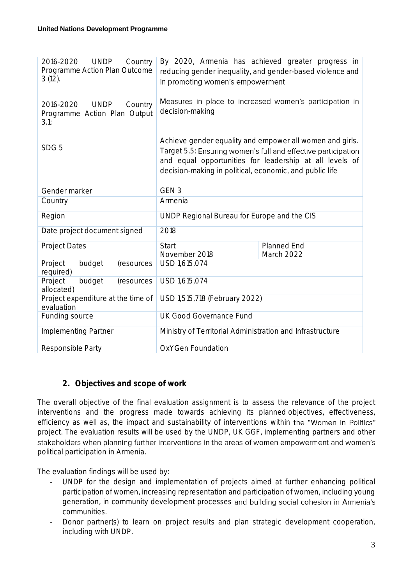| <b>UNDP</b><br>Country<br>2016-2020<br>Programme Action Plan Outcome<br>$3(12)$ . | By 2020, Armenia has achieved greater progress in<br>reducing gender inequality, and gender-based violence and<br>in promoting women's empowerment                                                                                              |                                                         |  |
|-----------------------------------------------------------------------------------|-------------------------------------------------------------------------------------------------------------------------------------------------------------------------------------------------------------------------------------------------|---------------------------------------------------------|--|
| 2016-2020<br><b>UNDP</b><br>Country<br>Programme Action Plan Output<br>3.1:       | decision-making                                                                                                                                                                                                                                 | Measures in place to increased women's participation in |  |
| SDG <sub>5</sub>                                                                  | Achieve gender equality and empower all women and girls.<br>Target 5.5: Ensuring women's full and effective participation<br>and equal opportunities for leadership at all levels of<br>decision-making in political, economic, and public life |                                                         |  |
| Gender marker                                                                     | GEN <sub>3</sub>                                                                                                                                                                                                                                |                                                         |  |
| Country                                                                           | Armenia                                                                                                                                                                                                                                         |                                                         |  |
| Region                                                                            | UNDP Regional Bureau for Europe and the CIS                                                                                                                                                                                                     |                                                         |  |
| Date project document signed                                                      | 2018                                                                                                                                                                                                                                            |                                                         |  |
| <b>Project Dates</b>                                                              | <b>Start</b><br>November 2018                                                                                                                                                                                                                   | Planned End<br>March 2022                               |  |
| Project<br>budget<br>(resources<br>required)                                      | USD 1,615,074                                                                                                                                                                                                                                   |                                                         |  |
| budget<br>Project<br>(resources<br>allocated)                                     | USD 1,615,074                                                                                                                                                                                                                                   |                                                         |  |
| Project expenditure at the time of<br>evaluation                                  | USD 1,515,718 (February 2022)                                                                                                                                                                                                                   |                                                         |  |
| Funding source                                                                    | <b>UK Good Governance Fund</b>                                                                                                                                                                                                                  |                                                         |  |
| Implementing Partner                                                              | Ministry of Territorial Administration and Infrastructure                                                                                                                                                                                       |                                                         |  |
| Responsible Party                                                                 | OxYGen Foundation                                                                                                                                                                                                                               |                                                         |  |

### **2. Objectives and scope of work**

The overall objective of the final evaluation assignment is to assess the relevance of the project interventions and the progress made towards achieving its planned objectives, effectiveness, efficiency as well as, the impact and sustainability of interventions within the "Women in Politics" project. The evaluation results will be used by the UNDP, UK GGF, implementing partners and other stakeholders when planning further interventions in the areas of women empowerment and women's political participation in Armenia.

The evaluation findings will be used by:

- UNDP for the design and implementation of projects aimed at further enhancing political participation of women, increasing representation and participation of women, including young generation, in community development processes and building social cohesion in Armenia's communities.
- Donor partner(s) to learn on project results and plan strategic development cooperation, including with UNDP.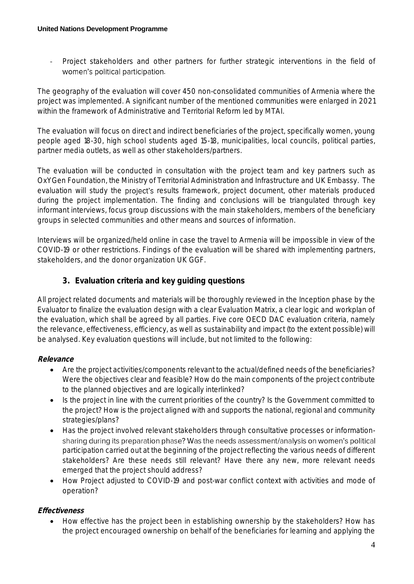Project stakeholders and other partners for further strategic interventions in the field of women's political participation.

The geography of the evaluation will cover 450 non-consolidated communities of Armenia where the project was implemented. A significant number of the mentioned communities were enlarged in 2021 within the framework of Administrative and Territorial Reform led by MTAI.

The evaluation will focus on direct and indirect beneficiaries of the project, specifically women, young people aged 18-30, high school students aged 15-18, municipalities, local councils, political parties, partner media outlets, as well as other stakeholders/partners.

The evaluation will be conducted in consultation with the project team and key partners such as OxYGen Foundation, the Ministry of Territorial Administration and Infrastructure and UK Embassy. The evaluation will study the project's results framework, project document, other materials produced during the project implementation. The finding and conclusions will be triangulated through key informant interviews, focus group discussions with the main stakeholders, members of the beneficiary groups in selected communities and other means and sources of information.

Interviews will be organized/held online in case the travel to Armenia will be impossible in view of the COVID-19 or other restrictions. Findings of the evaluation will be shared with implementing partners, stakeholders, and the donor organization UK GGF.

# **3. Evaluation criteria and key guiding questions**

All project related documents and materials will be thoroughly reviewed in the Inception phase by the Evaluator to finalize the evaluation design with a clear Evaluation Matrix, a clear logic and workplan of the evaluation, which shall be agreed by all parties. Five core OECD DAC evaluation criteria, namely the relevance, effectiveness, efficiency, as well as sustainability and impact (to the extent possible) will be analysed. Key evaluation questions will include, but not limited to the following:

### **Relevance**

- Are the project activities/components relevant to the actual/defined needs of the beneficiaries? Were the objectives clear and feasible? How do the main components of the project contribute to the planned objectives and are logically interlinked?
- Is the project in line with the current priorities of the country? Is the Government committed to the project? How is the project aligned with and supports the national, regional and community strategies/plans?
- Has the project involved relevant stakeholders through consultative processes or informationsharing during its preparation phase? Was the needs assessment/analysis on women's political participation carried out at the beginning of the project reflecting the various needs of different stakeholders? Are these needs still relevant? Have there any new, more relevant needs emerged that the project should address?
- How Project adjusted to COVID-19 and post-war conflict context with activities and mode of operation?

# **Effectiveness**

• How effective has the project been in establishing ownership by the stakeholders? How has the project encouraged ownership on behalf of the beneficiaries for learning and applying the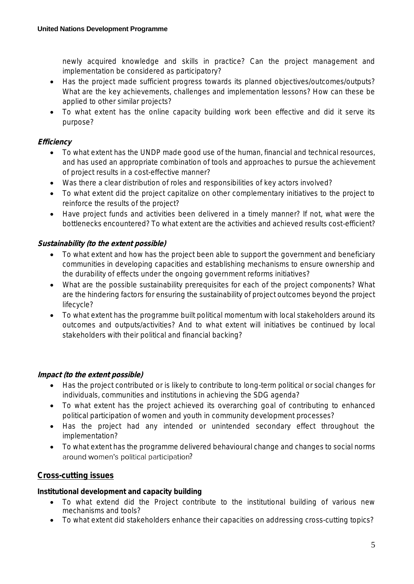newly acquired knowledge and skills in practice? Can the project management and implementation be considered as participatory?

- Has the project made sufficient progress towards its planned objectives/outcomes/outputs? What are the key achievements, challenges and implementation lessons? How can these be applied to other similar projects?
- To what extent has the online capacity building work been effective and did it serve its purpose?

# **Efficiency**

- To what extent has the UNDP made good use of the human, financial and technical resources, and has used an appropriate combination of tools and approaches to pursue the achievement of project results in a cost-effective manner?
- Was there a clear distribution of roles and responsibilities of key actors involved?
- To what extent did the project capitalize on other complementary initiatives to the project to reinforce the results of the project?
- Have project funds and activities been delivered in a timely manner? If not, what were the bottlenecks encountered? To what extent are the activities and achieved results cost-efficient?

## **Sustainability (to the extent possible)**

- To what extent and how has the project been able to support the government and beneficiary communities in developing capacities and establishing mechanisms to ensure ownership and the durability of effects under the ongoing government reforms initiatives?
- What are the possible sustainability prerequisites for each of the project components? What are the hindering factors for ensuring the sustainability of project outcomes beyond the project lifecycle?
- To what extent has the programme built political momentum with local stakeholders around its outcomes and outputs/activities? And to what extent will initiatives be continued by local stakeholders with their political and financial backing?

### **Impact (to the extent possible)**

- Has the project contributed or is likely to contribute to long-term political or social changes for individuals, communities and institutions in achieving the SDG agenda?
- To what extent has the project achieved its overarching goal of contributing to enhanced political participation of women and youth in community development processes?
- Has the project had any intended or unintended secondary effect throughout the implementation?
- To what extent has the programme delivered behavioural change and changes to social norms around women's political participation?

# **Cross-cutting issues**

**Institutional development and capacity building**

- To what extend did the Project contribute to the institutional building of various new mechanisms and tools?
- To what extent did stakeholders enhance their capacities on addressing cross-cutting topics?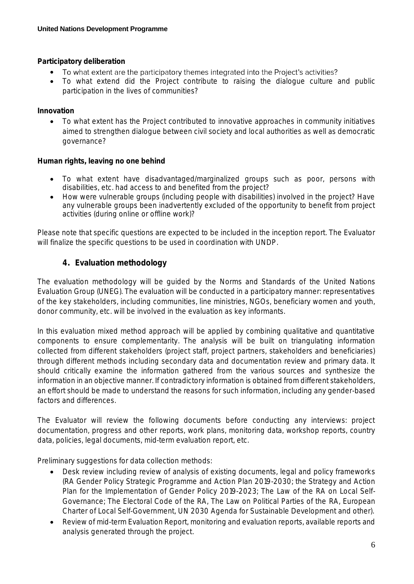**Participatory deliberation**

- To what extent are the participatory themes integrated into the Project's activities? •
- To what extend did the Project contribute to raising the dialogue culture and public participation in the lives of communities?

**Innovation**

• To what extent has the Project contributed to innovative approaches in community initiatives aimed to strengthen dialogue between civil society and local authorities as well as democratic governance?

**Human rights, leaving no one behind**

- To what extent have disadvantaged/marginalized groups such as poor, persons with disabilities, etc. had access to and benefited from the project?
- How were vulnerable groups (including people with disabilities) involved in the project? Have any vulnerable groups been inadvertently excluded of the opportunity to benefit from project activities (during online or offline work)?

Please note that specific questions are expected to be included in the inception report. The Evaluator will finalize the specific questions to be used in coordination with UNDP.

## **4. Evaluation methodology**

The evaluation methodology will be guided by the Norms and Standards of the United Nations Evaluation Group (UNEG). The evaluation will be conducted in a participatory manner: representatives of the key stakeholders, including communities, line ministries, NGOs, beneficiary women and youth, donor community, etc. will be involved in the evaluation as key informants.

In this evaluation mixed method approach will be applied by combining qualitative and quantitative components to ensure complementarity. The analysis will be built on triangulating information collected from different stakeholders (project staff, project partners, stakeholders and beneficiaries) through different methods including secondary data and documentation review and primary data. It should critically examine the information gathered from the various sources and synthesize the information in an objective manner. If contradictory information is obtained from different stakeholders, an effort should be made to understand the reasons for such information, including any gender-based factors and differences.

The Evaluator will review the following documents before conducting any interviews: project documentation, progress and other reports, work plans, monitoring data, workshop reports, country data, policies, legal documents, mid-term evaluation report, etc.

Preliminary suggestions for data collection methods:

- Desk review including review of analysis of existing documents, legal and policy frameworks (RA Gender Policy Strategic Programme and Action Plan 2019-2030; the Strategy and Action Plan for the Implementation of Gender Policy 2019-2023; The Law of the RA on Local Self-Governance; The Electoral Code of the RA, The Law on Political Parties of the RA, European Charter of Local Self-Government, UN 2030 Agenda for Sustainable Development and other).
- Review of mid-term Evaluation Report, monitoring and evaluation reports, available reports and analysis generated through the project.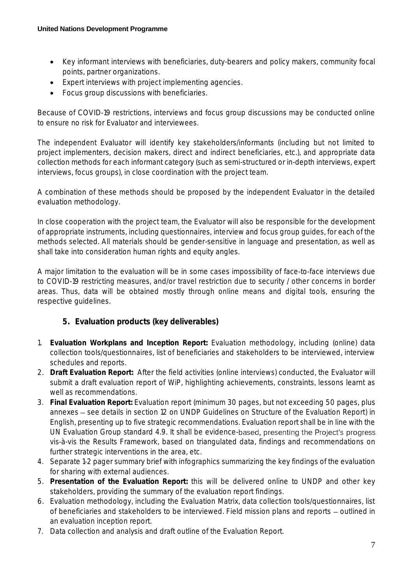- Key informant interviews with beneficiaries, duty-bearers and policy makers, community focal points, partner organizations.
- Expert interviews with project implementing agencies.
- Focus group discussions with beneficiaries.

Because of COVID-19 restrictions, interviews and focus group discussions may be conducted online to ensure no risk for Evaluator and interviewees.

The independent Evaluator will identify key stakeholders/informants (including but not limited to project implementers, decision makers, direct and indirect beneficiaries, etc.), and appropriate data collection methods for each informant category (such as semi-structured or in-depth interviews, expert interviews, focus groups), in close coordination with the project team.

A combination of these methods should be proposed by the independent Evaluator in the detailed evaluation methodology.

In close cooperation with the project team, the Evaluator will also be responsible for the development of appropriate instruments, including questionnaires, interview and focus group guides, for each of the methods selected. All materials should be gender-sensitive in language and presentation, as well as shall take into consideration human rights and equity angles.

A major limitation to the evaluation will be in some cases impossibility of face-to-face interviews due to COVID-19 restricting measures, and/or travel restriction due to security / other concerns in border areas. Thus, data will be obtained mostly through online means and digital tools, ensuring the respective guidelines.

- **5. Evaluation products (key deliverables)**
- 1. **Evaluation Workplans and Inception Report:** Evaluation methodology, including (online) data collection tools/questionnaires, list of beneficiaries and stakeholders to be interviewed, interview schedules and reports.
- 2. **Draft Evaluation Report:** After the field activities (online interviews) conducted, the Evaluator will submit a draft evaluation report of WiP, highlighting achievements, constraints, lessons learnt as well as recommendations.
- 3. **Final Evaluation Report:** Evaluation report (minimum 30 pages, but not exceeding 50 pages, plus annexes - see details in section 12 on UNDP Guidelines on Structure of the Evaluation Report) in English, presenting up to five strategic recommendations. Evaluation report shall be in line with the UN Evaluation Group standard 4.9. It shall be evidence-based, presenting the Project's progress vis-à-vis the Results Framework, based on triangulated data, findings and recommendations on further strategic interventions in the area, etc.
- 4. Separate 1-2 pager summary brief with infographics summarizing the key findings of the evaluation for sharing with external audiences.
- 5. **Presentation of the Evaluation Report:** this will be delivered online to UNDP and other key stakeholders, providing the summary of the evaluation report findings.
- 6. Evaluation methodology, including the Evaluation Matrix, data collection tools/questionnaires, list of beneficiaries and stakeholders to be interviewed. Field mission plans and reports – outlined in an evaluation inception report.
- 7. Data collection and analysis and draft outline of the Evaluation Report.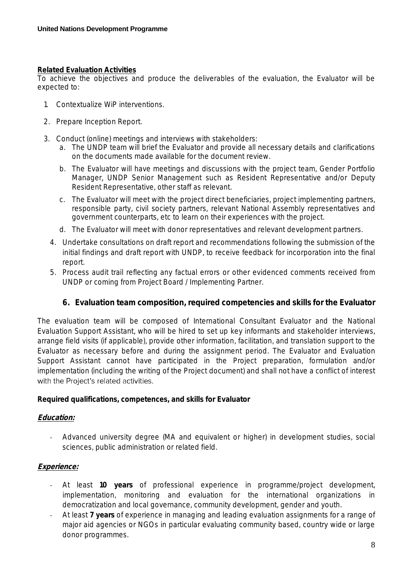#### **Related Evaluation Activities**

To achieve the objectives and produce the deliverables of the evaluation, the Evaluator will be expected to:

- 1. Contextualize WiP interventions.
- 2. Prepare Inception Report.
- 3. Conduct (online) meetings and interviews with stakeholders:
	- a. The UNDP team will brief the Evaluator and provide all necessary details and clarifications on the documents made available for the document review.
	- b. The Evaluator will have meetings and discussions with the project team, Gender Portfolio Manager, UNDP Senior Management such as Resident Representative and/or Deputy Resident Representative, other staff as relevant.
	- c. The Evaluator will meet with the project direct beneficiaries, project implementing partners, responsible party, civil society partners, relevant National Assembly representatives and government counterparts, etc to learn on their experiences with the project.
	- d. The Evaluator will meet with donor representatives and relevant development partners.
	- 4. Undertake consultations on draft report and recommendations following the submission of the initial findings and draft report with UNDP, to receive feedback for incorporation into the final report.
	- 5. Process audit trail reflecting any factual errors or other evidenced comments received from UNDP or coming from Project Board / Implementing Partner.
		- **6. Evaluation team composition, required competencies and skills for the Evaluator**

The evaluation team will be composed of International Consultant Evaluator and the National Evaluation Support Assistant, who will be hired to set up key informants and stakeholder interviews, arrange field visits (if applicable), provide other information, facilitation, and translation support to the Evaluator as necessary before and during the assignment period. The Evaluator and Evaluation Support Assistant cannot have participated in the Project preparation, formulation and/or implementation (including the writing of the Project document) and shall not have a conflict of interest with the Project's related activities.

**Required qualifications, competences, and skills for Evaluator**

### **Education:**

- Advanced university degree (MA and equivalent or higher) in development studies, social sciences, public administration or related field.

#### **Experience:**

- At least **10 years** of professional experience in programme/project development, implementation, monitoring and evaluation for the international organizations in democratization and local governance, community development, gender and youth.
- At least **7 years** of experience in managing and leading evaluation assignments for a range of major aid agencies or NGOs in particular evaluating community based, country wide or large donor programmes.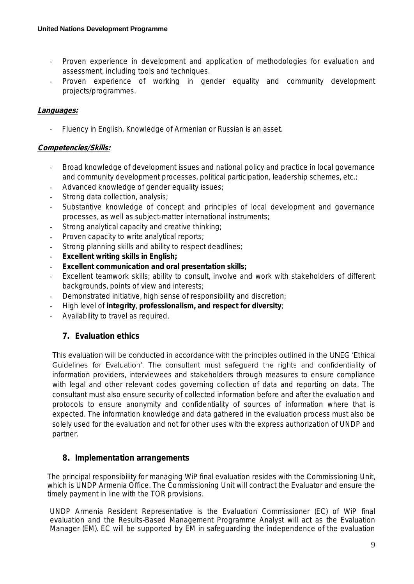- Proven experience in development and application of methodologies for evaluation and assessment, including tools and techniques.
- Proven experience of working in gender equality and community development projects/programmes.

#### **Languages:**

Fluency in English. Knowledge of Armenian or Russian is an asset.

#### **Competencies/Skills:**

- Broad knowledge of development issues and national policy and practice in local governance and community development processes, political participation, leadership schemes, etc.;
- Advanced knowledge of gender equality issues;
- Strong data collection, analysis;
- Substantive knowledge of concept and principles of local development and governance processes, as well as subject-matter international instruments;
- Strong analytical capacity and creative thinking;
- Proven capacity to write analytical reports;
- Strong planning skills and ability to respect deadlines;
- Excellent writing skills in English;
- **Excellent communication and oral presentation skills;**
- Excellent teamwork skills; ability to consult, involve and work with stakeholders of different backgrounds, points of view and interests;
- Demonstrated initiative, high sense of responsibility and discretion;
- High level of **integrity**, **professionalism, and respect for diversity**;
- Availability to travel as required.

### **7. Evaluation ethics**

This evaluation will be conducted in accordance with the principles outlined in the UNEG 'Ethical Guidelines for Evaluation'. The consultant must safeguard the rights and confidentiality of information providers, interviewees and stakeholders through measures to ensure compliance with legal and other relevant codes governing collection of data and reporting on data. The consultant must also ensure security of collected information before and after the evaluation and protocols to ensure anonymity and confidentiality of sources of information where that is expected. The information knowledge and data gathered in the evaluation process must also be solely used for the evaluation and not for other uses with the express authorization of UNDP and partner.

### **8. Implementation arrangements**

The principal responsibility for managing WiP final evaluation resides with the Commissioning Unit, which is UNDP Armenia Office. The Commissioning Unit will contract the Evaluator and ensure the timely payment in line with the TOR provisions.

UNDP Armenia Resident Representative is the Evaluation Commissioner (EC) of WiP final evaluation and the Results-Based Management Programme Analyst will act as the Evaluation Manager (EM). EC will be supported by EM in safeguarding the independence of the evaluation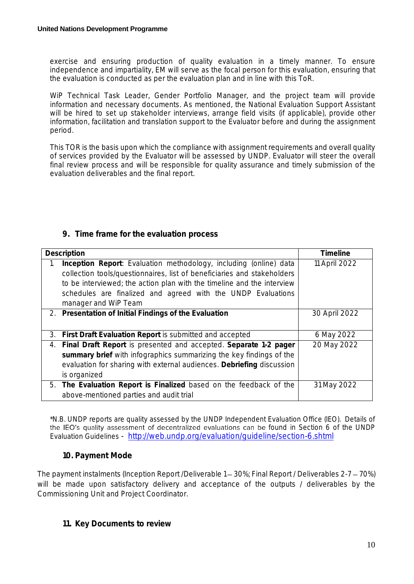exercise and ensuring production of quality evaluation in a timely manner. To ensure independence and impartiality, EM will serve as the focal person for this evaluation, ensuring that the evaluation is conducted as per the evaluation plan and in line with this ToR.

WiP Technical Task Leader, Gender Portfolio Manager, and the project team will provide information and necessary documents. As mentioned, the National Evaluation Support Assistant will be hired to set up stakeholder interviews, arrange field visits (if applicable), provide other information, facilitation and translation support to the Evaluator before and during the assignment period.

This TOR is the basis upon which the compliance with assignment requirements and overall quality of services provided by the Evaluator will be assessed by UNDP. Evaluator will steer the overall final review process and will be responsible for quality assurance and timely submission of the evaluation deliverables and the final report.

| Description                                                             | Timeline      |
|-------------------------------------------------------------------------|---------------|
| Inception Report: Evaluation methodology, including (online) data<br>1. | 11 April 2022 |
| collection tools/questionnaires, list of beneficiaries and stakeholders |               |
| to be interviewed; the action plan with the timeline and the interview  |               |
| schedules are finalized and agreed with the UNDP Evaluations            |               |
| manager and WiP Team                                                    |               |
| 2. Presentation of Initial Findings of the Evaluation                   | 30 April 2022 |
|                                                                         |               |
| First Draft Evaluation Report is submitted and accepted<br>3.           | 6 May 2022    |
| Final Draft Report is presented and accepted. Separate 1-2 pager<br>4.  | 20 May 2022   |
| summary brief with infographics summarizing the key findings of the     |               |
| evaluation for sharing with external audiences. Debriefing discussion   |               |
| is organized                                                            |               |
| 5. The Evaluation Report is Finalized based on the feedback of the      | 31 May 2022   |
| above-mentioned parties and audit trial                                 |               |

## **9. Time frame for the evaluation process**

\*N.B. UNDP reports are quality assessed by the UNDP Independent Evaluation Office (IEO). Details of the IEO's quality assessment of decentralized evaluations can be found in Section 6 of the UNDP Evaluation Guidelines - <http://web.undp.org/evaluation/guideline/section-6.shtml>

### **10. Payment Mode**

The payment instalments (Inception Report /Deliverable 1 – 30%; Final Report / Deliverables 2-7 – 70%) will be made upon satisfactory delivery and acceptance of the outputs / deliverables by the Commissioning Unit and Project Coordinator.

**11. Key Documents to review**